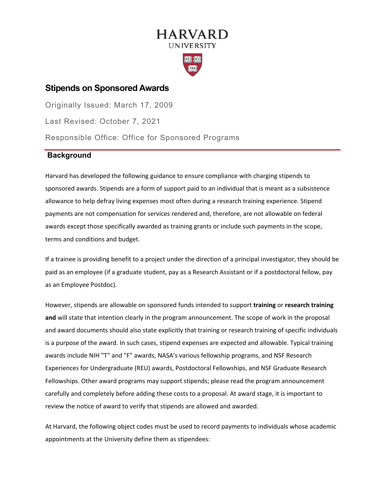# **HARVARD UNIVERSITY**



## **Stipends on Sponsored Awards**

Originally Issued: March 17, 2009 Last Revised: October 7, 2021 Responsible Office: Office for Sponsored Programs

### **Background**

Harvard has developed the following guidance to ensure compliance with charging stipends to sponsored awards. Stipends are a form of support paid to an individual that is meant as a subsistence allowance to help defray living expenses most often during a research training experience. Stipend payments are not compensation for services rendered and, therefore, are not allowable on federal awards except those specifically awarded as training grants or include such payments in the scope, terms and conditions and budget.

If a trainee is providing benefit to a project under the direction of a principal investigator, they should be paid as an employee (if a graduate student, pay as a Research Assistant or if a postdoctoral fellow, pay as an Employee Postdoc).

However, stipends are allowable on sponsored funds intended to support **training** or **research training and** will state that intention clearly in the program announcement. The scope of work in the proposal and award documents should also state explicitly that training or research training of specific individuals is a purpose of the award. In such cases, stipend expenses are expected and allowable. Typical training awards include NIH "T" and "F" awards, NASA's various fellowship programs, and NSF Research Experiences for Undergraduate (REU) awards, Postdoctoral Fellowships, and NSF Graduate Research Fellowships. Other award programs may support stipends; please read the program announcement carefully and completely before adding these costs to a proposal. At award stage, it is important to review the notice of award to verify that stipends are allowed and awarded.

At Harvard, the following object codes must be used to record payments to individuals whose academic appointments at the University define them as stipendees: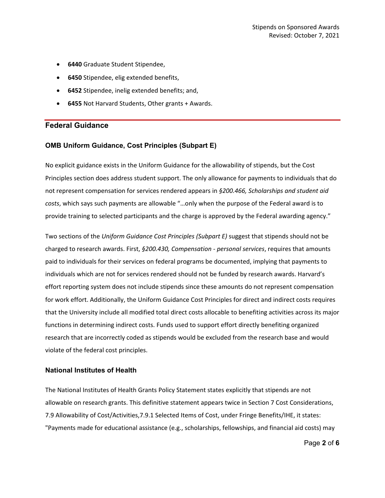- **6440** Graduate Student Stipendee,
- **6450** Stipendee, elig extended benefits,
- **6452** Stipendee, inelig extended benefits; and,
- **6455** Not Harvard Students, Other grants + Awards.

### **Federal Guidance**

#### **OMB Uniform Guidance, Cost Principles (Subpart E)**

No explicit guidance exists in the Uniform Guidance for the allowability of stipends, but the Cost Principles section does address student support. The only allowance for payments to individuals that do not represent compensation for services rendered appears in *§200.466, Scholarships and student aid costs*, which says such payments are allowable "…only when the purpose of the Federal award is to provide training to selected participants and the charge is approved by the Federal awarding agency."

Two sections of the *Uniform Guidance Cost Principles (Subpart E)* suggest that stipends should not be charged to research awards. First, *§200.430, Compensation - personal services*, requires that amounts paid to individuals for their services on federal programs be documented, implying that payments to individuals which are not for services rendered should not be funded by research awards. Harvard's effort reporting system does not include stipends since these amounts do not represent compensation for work effort. Additionally, the Uniform Guidance Cost Principles for direct and indirect costs requires that the University include all modified total direct costs allocable to benefiting activities across its major functions in determining indirect costs. Funds used to support effort directly benefiting organized research that are incorrectly coded as stipends would be excluded from the research base and would violate of the federal cost principles.

#### **National Institutes of Health**

The National Institutes of Health Grants Policy Statement states explicitly that stipends are not allowable on research grants. This definitive statement appears twice in Section 7 Cost Considerations, 7.9 Allowability of Cost/Activities,7.9.1 Selected Items of Cost, under Fringe Benefits/IHE, it states: "Payments made for educational assistance (e.g., scholarships, fellowships, and financial aid costs) may

Page **2** of **6**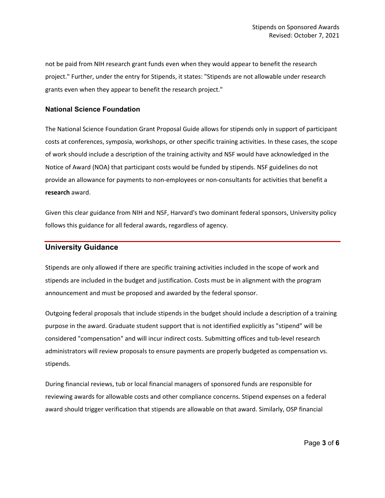not be paid from NIH research grant funds even when they would appear to benefit the research project." Further, under the entry for Stipends, it states: "Stipends are not allowable under research grants even when they appear to benefit the research project."

### **National Science Foundation**

The National Science Foundation Grant Proposal Guide allows for stipends only in support of participant costs at conferences, symposia, workshops, or other specific training activities. In these cases, the scope of work should include a description of the training activity and NSF would have acknowledged in the Notice of Award (NOA) that participant costs would be funded by stipends. NSF guidelines do not provide an allowance for payments to non-employees or non-consultants for activities that benefit a **research** award.

Given this clear guidance from NIH and NSF, Harvard's two dominant federal sponsors, University policy follows this guidance for all federal awards, regardless of agency.

### **University Guidance**

Stipends are only allowed if there are specific training activities included in the scope of work and stipends are included in the budget and justification. Costs must be in alignment with the program announcement and must be proposed and awarded by the federal sponsor.

Outgoing federal proposals that include stipends in the budget should include a description of a training purpose in the award. Graduate student support that is not identified explicitly as "stipend" will be considered "compensation" and will incur indirect costs. Submitting offices and tub-level research administrators will review proposals to ensure payments are properly budgeted as compensation vs. stipends.

During financial reviews, tub or local financial managers of sponsored funds are responsible for reviewing awards for allowable costs and other compliance concerns. Stipend expenses on a federal award should trigger verification that stipends are allowable on that award. Similarly, OSP financial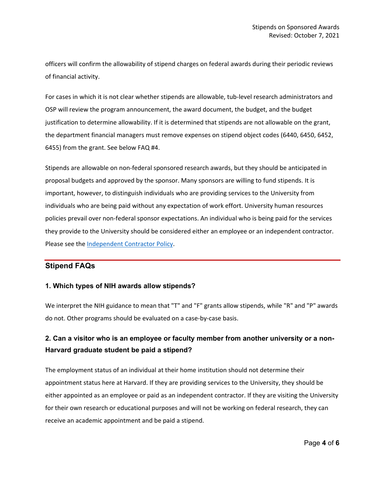officers will confirm the allowability of stipend charges on federal awards during their periodic reviews of financial activity.

For cases in which it is not clear whether stipends are allowable, tub-level research administrators and OSP will review the program announcement, the award document, the budget, and the budget justification to determine allowability. If it is determined that stipends are not allowable on the grant, the department financial managers must remove expenses on stipend object codes (6440, 6450, 6452, 6455) from the grant. See below FAQ #4.

Stipends are allowable on non-federal sponsored research awards, but they should be anticipated in proposal budgets and approved by the sponsor. Many sponsors are willing to fund stipends. It is important, however, to distinguish individuals who are providing services to the University from individuals who are being paid without any expectation of work effort. University human resources policies prevail over non-federal sponsor expectations. An individual who is being paid for the services they provide to the University should be considered either an employee or an independent contractor. Please see the [Independent Contractor Policy.](https://policies.fad.harvard.edu/pages/independent-contractors)

### **Stipend FAQs**

### **1. Which types of NIH awards allow stipends?**

We interpret the NIH guidance to mean that "T" and "F" grants allow stipends, while "R" and "P" awards do not. Other programs should be evaluated on a case-by-case basis.

# **2. Can a visitor who is an employee or faculty member from another university or a non-Harvard graduate student be paid a stipend?**

The employment status of an individual at their home institution should not determine their appointment status here at Harvard. If they are providing services to the University, they should be either appointed as an employee or paid as an independent contractor. If they are visiting the University for their own research or educational purposes and will not be working on federal research, they can receive an academic appointment and be paid a stipend.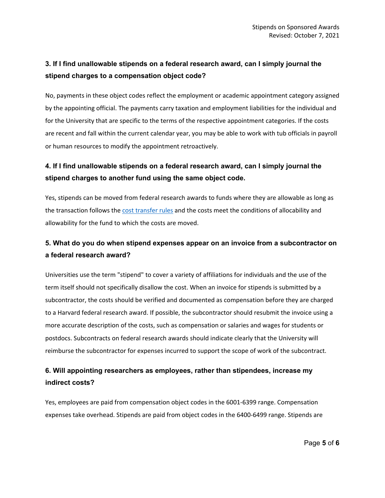# **3. If I find unallowable stipends on a federal research award, can I simply journal the stipend charges to a compensation object code?**

No, payments in these object codes reflect the employment or academic appointment category assigned by the appointing official. The payments carry taxation and employment liabilities for the individual and for the University that are specific to the terms of the respective appointment categories. If the costs are recent and fall within the current calendar year, you may be able to work with tub officials in payroll or human resources to modify the appointment retroactively.

# **4. If I find unallowable stipends on a federal research award, can I simply journal the stipend charges to another fund using the same object code.**

Yes, stipends can be moved from federal research awards to funds where they are allowable as long as the transaction follows th[e cost transfer rules](https://osp.finance.harvard.edu/cost-transfer-policy) and the costs meet the conditions of allocability and allowability for the fund to which the costs are moved.

# **5. What do you do when stipend expenses appear on an invoice from a subcontractor on a federal research award?**

Universities use the term "stipend" to cover a variety of affiliations for individuals and the use of the term itself should not specifically disallow the cost. When an invoice for stipends is submitted by a subcontractor, the costs should be verified and documented as compensation before they are charged to a Harvard federal research award. If possible, the subcontractor should resubmit the invoice using a more accurate description of the costs, such as compensation or salaries and wages for students or postdocs. Subcontracts on federal research awards should indicate clearly that the University will reimburse the subcontractor for expenses incurred to support the scope of work of the subcontract.

# **6. Will appointing researchers as employees, rather than stipendees, increase my indirect costs?**

Yes, employees are paid from compensation object codes in the 6001-6399 range. Compensation expenses take overhead. Stipends are paid from object codes in the 6400-6499 range. Stipends are